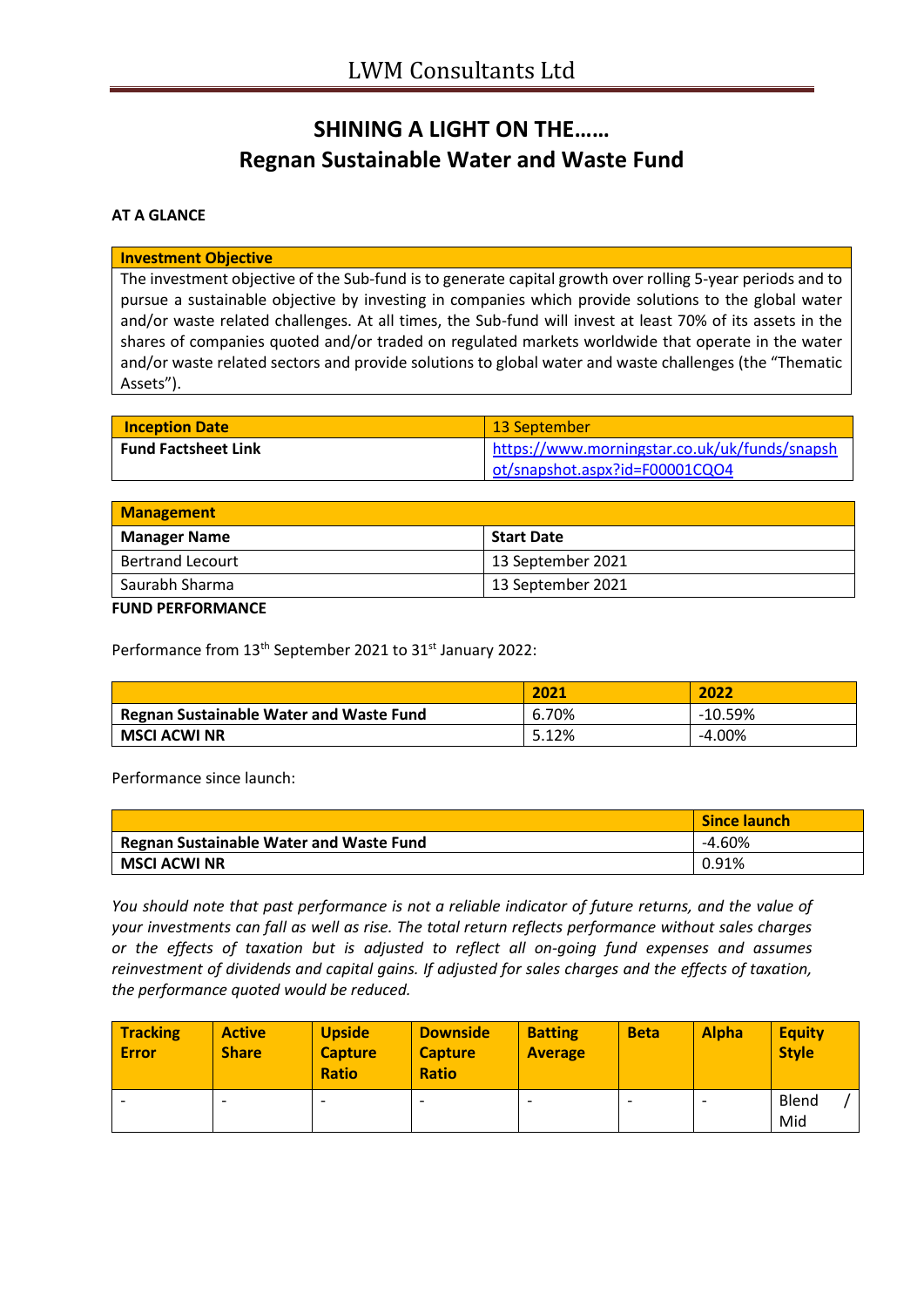# **SHINING A LIGHT ON THE…… Regnan Sustainable Water and Waste Fund**

## **AT A GLANCE**

#### **Investment Objective**

The investment objective of the Sub-fund is to generate capital growth over rolling 5-year periods and to pursue a sustainable objective by investing in companies which provide solutions to the global water and/or waste related challenges. At all times, the Sub-fund will invest at least 70% of its assets in the shares of companies quoted and/or traded on regulated markets worldwide that operate in the water and/or waste related sectors and provide solutions to global water and waste challenges (the "Thematic Assets").

| <b>Inception Date</b>      | 13 September                                  |
|----------------------------|-----------------------------------------------|
| <b>Fund Factsheet Link</b> | https://www.morningstar.co.uk/uk/funds/snapsh |
|                            | ot/snapshot.aspx?id=F00001CQO4                |

| Management              |                   |  |
|-------------------------|-------------------|--|
| <b>Manager Name</b>     | <b>Start Date</b> |  |
| <b>Bertrand Lecourt</b> | 13 September 2021 |  |
| ' Saurabh Sharma        | 13 September 2021 |  |

#### **FUND PERFORMANCE**

Performance from 13<sup>th</sup> September 2021 to 31<sup>st</sup> January 2022:

|                                         | 2021  | 2022      |
|-----------------------------------------|-------|-----------|
| Regnan Sustainable Water and Waste Fund | 6.70% | $-10.59%$ |
| <b>MSCI ACWI NR</b>                     | 5.12% | $-4.00%$  |

Performance since launch:

|                                         | <b>Since launch</b> |
|-----------------------------------------|---------------------|
| Regnan Sustainable Water and Waste Fund | $-4.60%$            |
| <b>MSCI ACWI NR</b>                     | 0.91%               |

*You should note that past performance is not a reliable indicator of future returns, and the value of your investments can fall as well as rise. The total return reflects performance without sales charges or the effects of taxation but is adjusted to reflect all on-going fund expenses and assumes reinvestment of dividends and capital gains. If adjusted for sales charges and the effects of taxation, the performance quoted would be reduced.*

| <b>Tracking</b><br><b>Error</b> | <b>Active</b><br><b>Share</b> | <b>Upside</b><br><b>Capture</b><br><b>Ratio</b> | <b>Downside</b><br><b>Capture</b><br><b>Ratio</b> | <b>Batting</b><br><b>Average</b> | <b>Beta</b> | <b>Alpha</b> | <b>Equity</b><br><b>Style</b> |
|---------------------------------|-------------------------------|-------------------------------------------------|---------------------------------------------------|----------------------------------|-------------|--------------|-------------------------------|
|                                 | $\overline{\phantom{0}}$      | $\overline{\phantom{0}}$                        |                                                   |                                  |             |              | Blend<br>Mid                  |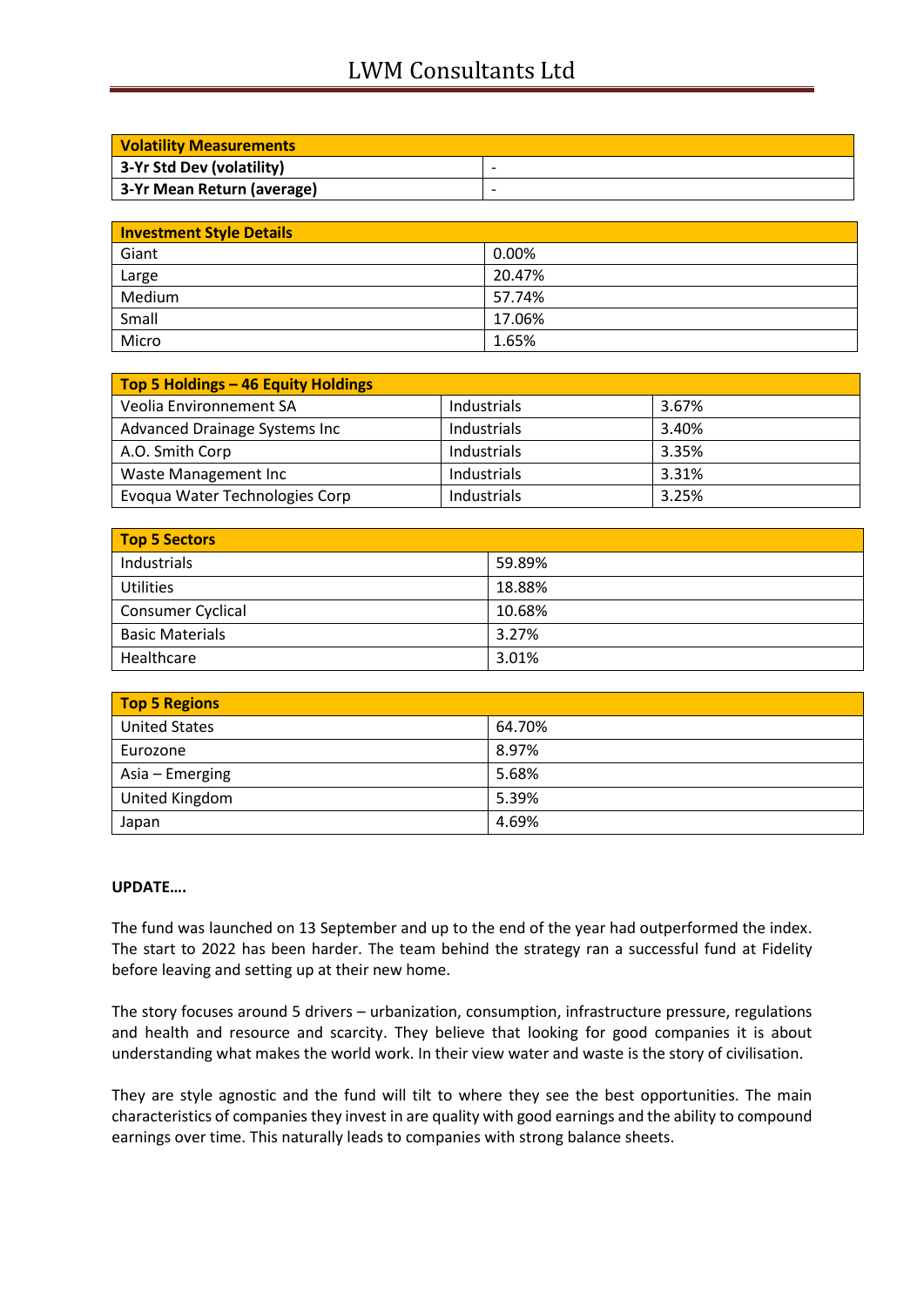## LWM Consultants Ltd

| <b>Volatility Measurements</b> |                          |
|--------------------------------|--------------------------|
| 3-Yr Std Dev (volatility)      | $\overline{\phantom{a}}$ |
| 3-Yr Mean Return (average)     | $\overline{\phantom{a}}$ |

| <b>Investment Style Details</b> |        |  |
|---------------------------------|--------|--|
| Giant                           | 0.00%  |  |
| Large                           | 20.47% |  |
| Medium                          | 57.74% |  |
| Small                           | 17.06% |  |
| Micro                           | 1.65%  |  |

| Top 5 Holdings - 46 Equity Holdings |             |       |
|-------------------------------------|-------------|-------|
| Veolia Environnement SA             | Industrials | 3.67% |
| Advanced Drainage Systems Inc       | Industrials | 3.40% |
| A.O. Smith Corp                     | Industrials | 3.35% |
| Waste Management Inc                | Industrials | 3.31% |
| Evoqua Water Technologies Corp      | Industrials | 3.25% |

| <b>Top 5 Sectors</b>   |        |  |
|------------------------|--------|--|
| Industrials            | 59.89% |  |
| <b>Utilities</b>       | 18.88% |  |
| Consumer Cyclical      | 10.68% |  |
| <b>Basic Materials</b> | 3.27%  |  |
| Healthcare             | 3.01%  |  |

| <b>Top 5 Regions</b> |        |
|----------------------|--------|
| <b>United States</b> | 64.70% |
| Eurozone             | 8.97%  |
| Asia – Emerging      | 5.68%  |
| United Kingdom       | 5.39%  |
| Japan                | 4.69%  |

### **UPDATE….**

The fund was launched on 13 September and up to the end of the year had outperformed the index. The start to 2022 has been harder. The team behind the strategy ran a successful fund at Fidelity before leaving and setting up at their new home.

The story focuses around 5 drivers – urbanization, consumption, infrastructure pressure, regulations and health and resource and scarcity. They believe that looking for good companies it is about understanding what makes the world work. In their view water and waste is the story of civilisation.

They are style agnostic and the fund will tilt to where they see the best opportunities. The main characteristics of companies they invest in are quality with good earnings and the ability to compound earnings over time. This naturally leads to companies with strong balance sheets.